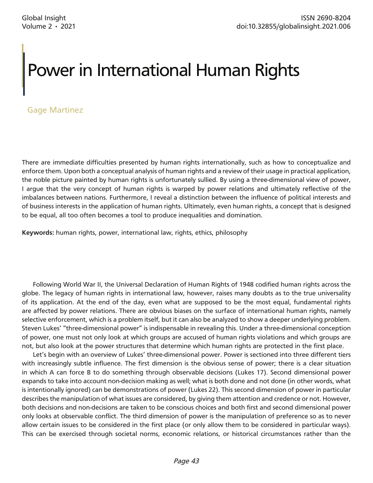# Power in International Human Rights

## Gage Martinez

There are immediate difficulties presented by human rights internationally, such as how to conceptualize and enforce them. Upon both a conceptual analysis of human rights and a review of their usage in practical application, the noble picture painted by human rights is unfortunately sullied. By using a three-dimensional view of power, I argue that the very concept of human rights is warped by power relations and ultimately reflective of the imbalances between nations. Furthermore, I reveal a distinction between the influence of political interests and of business interests in the application of human rights. Ultimately, even human rights, a concept that is designed to be equal, all too often becomes a tool to produce inequalities and domination.

**Keywords:** human rights, power, international law, rights, ethics, philosophy

Following World War II, the Universal Declaration of Human Rights of 1948 codified human rights across the globe. The legacy of human rights in international law, however, raises many doubts as to the true universality of its application. At the end of the day, even what are supposed to be the most equal, fundamental rights are affected by power relations. There are obvious biases on the surface of international human rights, namely selective enforcement, which is a problem itself, but it can also be analyzed to show a deeper underlying problem. Steven Lukes' "three-dimensional power" is indispensable in revealing this. Under a three-dimensional conception of power, one must not only look at which groups are accused of human rights violations and which groups are not, but also look at the power structures that determine which human rights are protected in the first place.

Let's begin with an overview of Lukes' three-dimensional power. Power is sectioned into three different tiers with increasingly subtle influence. The first dimension is the obvious sense of power; there is a clear situation in which A can force B to do something through observable decisions (Lukes 17). Second dimensional power expands to take into account non-decision making as well; what is both done and not done (in other words, what is intentionally ignored) can be demonstrations of power (Lukes 22). This second dimension of power in particular describes the manipulation of what issues are considered, by giving them attention and credence or not. However, both decisions and non-decisions are taken to be conscious choices and both first and second dimensional power only looks at observable conflict. The third dimension of power is the manipulation of preference so as to never allow certain issues to be considered in the first place (or only allow them to be considered in particular ways). This can be exercised through societal norms, economic relations, or historical circumstances rather than the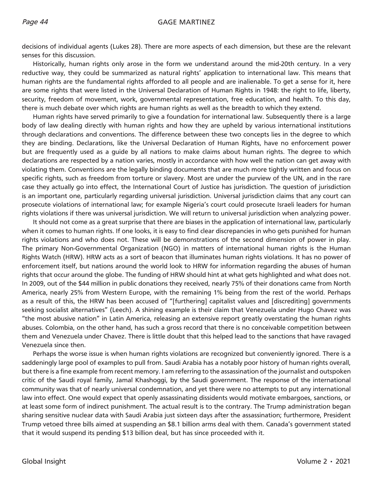### Page 44 GAGE MARTINEZ

decisions of individual agents (Lukes 28). There are more aspects of each dimension, but these are the relevant senses for this discussion.

Historically, human rights only arose in the form we understand around the mid-20th century. In a very reductive way, they could be summarized as natural rights' application to international law. This means that human rights are the fundamental rights afforded to all people and are inalienable. To get a sense for it, here are some rights that were listed in the Universal Declaration of Human Rights in 1948: the right to life, liberty, security, freedom of movement, work, governmental representation, free education, and health. To this day, there is much debate over which rights are human rights as well as the breadth to which they extend.

Human rights have served primarily to give a foundation for international law. Subsequently there is a large body of law dealing directly with human rights and how they are upheld by various international institutions through declarations and conventions. The difference between these two concepts lies in the degree to which they are binding. Declarations, like the Universal Declaration of Human Rights, have no enforcement power but are frequently used as a guide by all nations to make claims about human rights. The degree to which declarations are respected by a nation varies, mostly in accordance with how well the nation can get away with violating them. Conventions are the legally binding documents that are much more tightly written and focus on specific rights, such as freedom from torture or slavery. Most are under the purview of the UN, and in the rare case they actually go into effect, the International Court of Justice has jurisdiction. The question of jurisdiction is an important one, particularly regarding universal jurisdiction. Universal jurisdiction claims that any court can prosecute violations of international law; for example Nigeria's court could prosecute Israeli leaders for human rights violations if there was universal jurisdiction. We will return to universal jurisdiction when analyzing power.

It should not come as a great surprise that there are biases in the application of international law, particularly when it comes to human rights. If one looks, it is easy to find clear discrepancies in who gets punished for human rights violations and who does not. These will be demonstrations of the second dimension of power in play. The primary Non-Governmental Organization (NGO) in matters of international human rights is the Human Rights Watch (HRW). HRW acts as a sort of beacon that illuminates human rights violations. It has no power of enforcement itself, but nations around the world look to HRW for information regarding the abuses of human rights that occur around the globe. The funding of HRW should hint at what gets highlighted and what does not. In 2009, out of the \$44 million in public donations they received, nearly 75% of their donations came from North America, nearly 25% from Western Europe, with the remaining 1% being from the rest of the world. Perhaps as a result of this, the HRW has been accused of "[furthering] capitalist values and [discrediting] governments seeking socialist alternatives" (Leech). A shining example is their claim that Venezuela under Hugo Chavez was "the most abusive nation" in Latin America, releasing an extensive report greatly overstating the human rights abuses. Colombia, on the other hand, has such a gross record that there is no conceivable competition between them and Venezuela under Chavez. There is little doubt that this helped lead to the sanctions that have ravaged Venezuela since then.

Perhaps the worse issue is when human rights violations are recognized but conveniently ignored. There is a saddeningly large pool of examples to pull from. Saudi Arabia has a notably poor history of human rights overall, but there is a fine example from recent memory. I am referring to the assassination of the journalist and outspoken critic of the Saudi royal family, Jamal Khashoggi, by the Saudi government. The response of the international community was that of nearly universal condemnation, and yet there were no attempts to put any international law into effect. One would expect that openly assassinating dissidents would motivate embargoes, sanctions, or at least some form of indirect punishment. The actual result is to the contrary. The Trump administration began sharing sensitive nuclear data with Saudi Arabia just sixteen days after the assassination; furthermore, President Trump vetoed three bills aimed at suspending an \$8.1 billion arms deal with them. Canada's government stated that it would suspend its pending \$13 billion deal, but has since proceeded with it.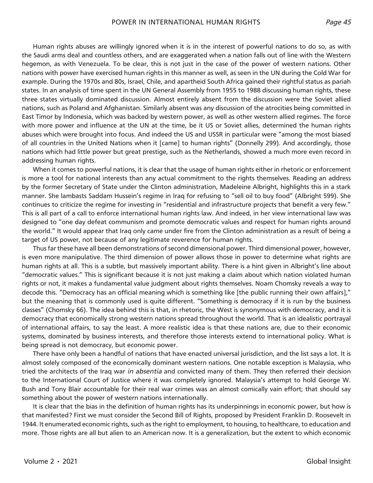Human rights abuses are willingly ignored when it is in the interest of powerful nations to do so, as with the Saudi arms deal and countless others, and are exaggerated when a nation falls out of line with the Western hegemon, as with Venezuela. To be clear, this is not just in the case of the power of western nations. Other nations with power have exercised human rights in this manner as well, as seen in the UN during the Cold War for example. During the 1970s and 80s, Israel, Chile, and apartheid South Africa gained their rightful status as pariah states. In an analysis of time spent in the UN General Assembly from 1955 to 1988 discussing human rights, these three states virtually dominated discussion. Almost entirely absent from the discussion were the Soviet allied nations, such as Poland and Afghanistan. Similarly absent was any discussion of the atrocities being committed in East Timor by Indonesia, which was backed by western power, as well as other western allied regimes. The force with more power and influence at the UN at the time, be it US or Soviet allies, determined the human rights abuses which were brought into focus. And indeed the US and USSR in particular were "among the most biased of all countries in the United Nations when it [came] to human rights" (Donnelly 299). And accordingly, those nations which had little power but great prestige, such as the Netherlands, showed a much more even record in addressing human rights.

When it comes to powerful nations, it is clear that the usage of human rights either in rhetoric or enforcement is more a tool for national interests than any actual commitment to the rights themselves. Reading an address by the former Secretary of State under the Clinton administration, Madeleine Albright, highlights this in a stark manner. She lambasts Saddam Hussein's regime in Iraq for refusing to "sell oil to buy food" (Albright 599). She continues to criticize the regime for investing in "residential and infrastructure projects that benefit a very few." This is all part of a call to enforce international human rights law. And indeed, in her view international law was designed to "one day defeat communism and promote democratic values and respect for human rights around the world." It would appear that Iraq only came under fire from the Clinton administration as a result of being a target of US power, not because of any legitimate reverence for human rights.

Thus far these have all been demonstrations of second dimensional power. Third dimensional power, however, is even more manipulative. The third dimension of power allows those in power to determine what rights are human rights at all. This is a subtle, but massively important ability. There is a hint given in Albright's line about "democratic values." This is significant because it is not just making a claim about which nation violated human rights or not, it makes a fundamental value judgment about rights themselves. Noam Chomsky reveals a way to decode this. "Democracy has an official meaning which is something like [the public running their own affairs]," but the meaning that is commonly used is quite different. "Something is democracy if it is run by the business classes" (Chomsky 66). The idea behind this is that, in rhetoric, the West is synonymous with democracy, and it is democracy that economically strong western nations spread throughout the world. That is an idealistic portrayal of international affairs, to say the least. A more realistic idea is that these nations are, due to their economic systems, dominated by business interests, and therefore those interests extend to international policy. What is being spread is not democracy, but economic power.

There have only been a handful of nations that have enacted universal jurisdiction, and the list says a lot. It is almost solely composed of the economically dominant western nations. One notable exception is Malaysia, who tried the architects of the Iraq war *in absentia* and convicted many of them. They then referred their decision to the International Court of Justice where it was completely ignored. Malaysia's attempt to hold George W. Bush and Tony Blair accountable for their real war crimes was an almost comically vain effort; that should say something about the power of western nations internationally.

It is clear that the bias in the definition of human rights has its underpinnings in economic power, but how is that manifested? First we must consider the Second Bill of Rights, proposed by President Franklin D. Roosevelt in 1944. It enumerated economic rights, such as the right to employment, to housing, to healthcare, to education and more. Those rights are all but alien to an American now. It is a generalization, but the extent to which economic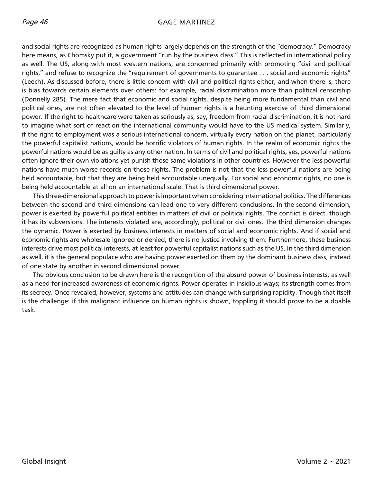### Page 46 GAGE MARTINEZ

and social rights are recognized as human rights largely depends on the strength of the "democracy." Democracy here means, as Chomsky put it, a government "run by the business class." This is reflected in international policy as well. The US, along with most western nations, are concerned primarily with promoting "civil and political rights," and refuse to recognize the "requirement of governments to guarantee . . . social and economic rights" (Leech). As discussed before, there is little concern with civil and political rights either, and when there is, there is bias towards certain elements over others: for example, racial discrimination more than political censorship (Donnelly 285). The mere fact that economic and social rights, despite being more fundamental than civil and political ones, are not often elevated to the level of human rights is a haunting exercise of third dimensional power. If the right to healthcare were taken as seriously as, say, freedom from racial discrimination, it is not hard to imagine what sort of reaction the international community would have to the US medical system. Similarly, if the right to employment was a serious international concern, virtually every nation on the planet, particularly the powerful capitalist nations, would be horrific violators of human rights. In the realm of economic rights the powerful nations would be as guilty as any other nation. In terms of civil and political rights, yes, powerful nations often ignore their own violations yet punish those same violations in other countries. However the less powerful nations have much worse records on those rights. The problem is not that the less powerful nations are being held accountable, but that they are being held accountable unequally. For social and economic rights, no one is being held accountable at all on an international scale. That is third dimensional power.

This three-dimensional approach to power is important when considering international politics. The differences between the second and third dimensions can lead one to very different conclusions. In the second dimension, power is exerted by powerful political entities in matters of civil or political rights. The conflict is direct, though it has its subversions. The interests violated are, accordingly, political or civil ones. The third dimension changes the dynamic. Power is exerted by business interests in matters of social and economic rights. And if social and economic rights are wholesale ignored or denied, there is no justice involving them. Furthermore, these business interests drive most political interests, at least for powerful capitalist nations such as the US. In the third dimension as well, it is the general populace who are having power exerted on them by the dominant business class, instead of one state by another in second dimensional power.

The obvious conclusion to be drawn here is the recognition of the absurd power of business interests, as well as a need for increased awareness of economic rights. Power operates in insidious ways; its strength comes from its secrecy. Once revealed, however, systems and attitudes can change with surprising rapidity. Though that itself is the challenge: if this malignant influence on human rights is shown, toppling it should prove to be a doable task.